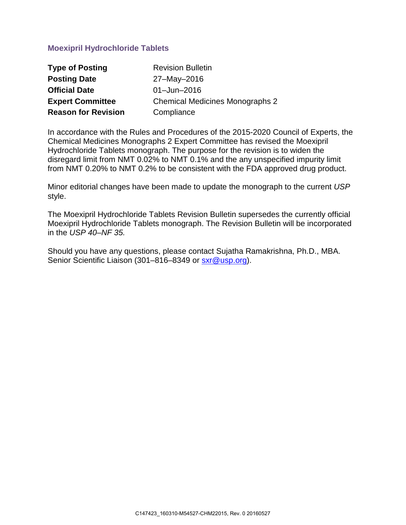# **Moexipril Hydrochloride Tablets**

| <b>Type of Posting</b>     | <b>Revision Bulletin</b>               |
|----------------------------|----------------------------------------|
| <b>Posting Date</b>        | 27-May-2016                            |
| <b>Official Date</b>       | $01 -$ Jun $-2016$                     |
| <b>Expert Committee</b>    | <b>Chemical Medicines Monographs 2</b> |
| <b>Reason for Revision</b> | Compliance                             |

In accordance with the Rules and Procedures of the 2015-2020 Council of Experts, the Chemical Medicines Monographs 2 Expert Committee has revised the Moexipril Hydrochloride Tablets monograph. The purpose for the revision is to widen the disregard limit from NMT 0.02% to NMT 0.1% and the any unspecified impurity limit from NMT 0.20% to NMT 0.2% to be consistent with the FDA approved drug product.

Minor editorial changes have been made to update the monograph to the current *USP* style.

The Moexipril Hydrochloride Tablets Revision Bulletin supersedes the currently official Moexipril Hydrochloride Tablets monograph. The Revision Bulletin will be incorporated in the *USP 40–NF 35.* 

Should you have any questions, please contact Sujatha Ramakrishna, Ph.D., MBA. Senior Scientific Liaison (301–816–8349 or [sxr@usp.org\)](mailto:sxr@usp.org).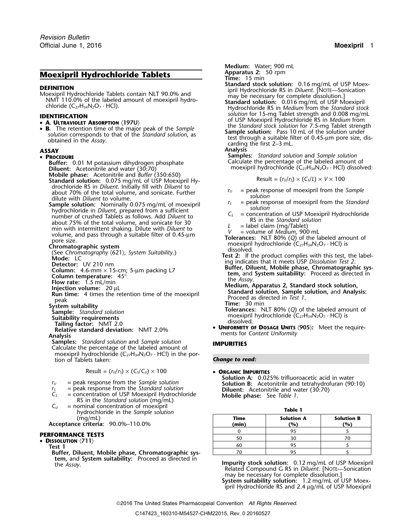## **Moexipril Hydrochloride Tablets**

**DEFINITION**<br> **Standard stock solution:** 0.16 mg/mL of USP Moex-<br>
Moexipril Hydrochloride Tablets contain NLT 90.0% and<br>
MMT 110.0% of the labeled amount of moexipril hydro-<br>
chloride (C<sub>27</sub>H<sub>34</sub>N<sub>2</sub>O<sub>7</sub> · HCl).<br>
Chloride

- 
- **A. OLIRAVIOLET ABSORPTION** (1970)<br> **B.** The retention time of the major peak of the *Sample*<br>
solution corresponds to that of the *Standard solution*, as<br>
obtained in the *Assay*.<br> **SAY**<br>
SAY<br>
Analysis<br>
SAY<br>
Analysis

### • PROCEDURE

- Buffer: 0.01 M potassium dihydrogen phosphate **Diluent:** Acetonitrile and water (30:70)<br>**Diluent:** Acetonitrile and water (30:70)<br>**Mobile phase:** Acetonitrile and *Buffer* (350:650)
- Standard solution: 0.075 mg/mL of USP Moexipril Hydrochloride RS in *Diluent*. Initially fill with *Diluent* to about 70% of the total volume, and sonicate. Further *r*<sub>*U*</sub> = peak response of moexipril from the *Sample*<br>
dilute with *Dilute with <i>Dilute with a solution*<br>
dilute with *Dilute in solution* and solution: Nominally 0.
- **Sample solution:** Nominally 0.075 mg/mL of moexipril<br>
hydrochloride in *Diluent*, prepared from a sufficient<br>
number of crushed Tablets as follows. Add *Diluent* to<br>
about 75% of the total volume, and sonicate for 30<br>
mi

- 
- 
- 
- 
- 
- 

- 
- 
- 
- 

**Samples:** *Standard solution* and *Sample solution* **IMPURITIES** Calculate the percentage of the labeled amount of moexipril hydrochloride  $(C_{27}H_{34}N_2O_7 \cdot HCl)$  in the portion of Tablets taken: *Change to read:*

Result =  $(r_U/r_S) \times (C_S/C_U) \times 100$  • ORGANIC IMPURITIES

- 
- 
- $r_5$  = peak response from the *Standard solution*<br>  $C_5$  = concentration of USP Moexipril Hydrochloride<br>
RS in the *Standard solution* (mg/mL)<br>  $C_U$  = nominal concentration of moexipril
- *C*<sub>*U*</sub> E<sub>*U*</sub> *C*<sub>*U*</sub>  $C$ <sup>*U*</sup> *C*<sub>*C*</sub> *C*<sub>*U*</sub> *C*<sub>*U*</sub> *C*<sub>*U*</sub> *C*<sub>*U*</sub> *C*<sub>*U*</sub> *C*<sub>*U*</sub> *C*<sub>*U*</sub> *C*<sub>*U*</sub> *C*<sub>*U*</sub> *C*<sub>*U*</sub> *C*<sub>*U*</sub> *C*<sub>*U*</sub> *C*<sub>*U*</sub> *C*<sub>*U*</sub> *C*<sub>*U*</sub> *C*<sub>*U*</sub> *C*<sub>*U*</sub> *C*<sub>*U*</sub> *C*<sub>*U*</sub> *C*<sub>*U*</sub>

**Buffer, Diluent, Mobile phase, Chromatographic system, and System suitability:** Proceed as directed in

**Medium:** Water; 900 mL<br>**Apparatus 2:** 50 rpm

- 
- **Time:** 15 min
- 
- **IDENTIFICATION**<br> **A LILTRAVIOLET ARSOPPTION** (1971I) **Solution** for 15-mg Tablet strength and 0.008 mg/mL<br> **A LILTRAVIOLET ARSOPPTION** (1971I) **Solution** of USP Moexipril Hydrochloride RS in *Medium* from • **<sup>A</sup>. ULTRAVIOLET ABSORPTION** 〈**197U**〉 of USP Moexipril Hydrochloride RS in *Medium* from the *Standard stock solution* for 7.5-mg Tablet strength •
	-
	-

### **ASSAY Analysis**

**Samples:** *Standard solution and Sample solution* Calculate the percentage of the labeled amount of

$$
Result = (r_U/r_S) \times (C_S/L) \times V \times 100
$$

- 
- 
- 
- 
- the property of the total value of Medium, 900 mL<br>
with intermittent shaking. Dilute with Diluent to<br>
volume, and pass through a suitable filter of 0.45-µm<br>
pore size.<br>
Chromatographic system<br>
(See Chromatography (621), S
	-
- Node: LC<br>
Mode: LC<br>
Detector: UV 210 nm<br>
In in instability<br>
Column: 4.6-mm × 15-cm; 5-µm packing L7<br>
Column: 4.6-mm × 15-cm; 5-µm packing L7<br>
Column: 4.6-mm × 15-cm; 5-µm packing L7<br>
Column: 4.6-mm × 15-cm; 5-µm packing L
	-
	-
- Tailing factor: NMT 2.0<br>
Relative standard deviation: NMT 2.0% **DUIFORMITY OF DOSAGE UNITS**  $\langle 905 \rangle$ : Meet the require-<br>
Analysis<br>
Samples: Standard solution and Sample solution<br> **IMPURITIES**

**Solution A:** 0.025% trifluoroacetic acid in water *<sup>r</sup><sup>U</sup>* = peak response from the *Sample solution* **Solution B:** Acetonitrile and tetrahydrofuran (90:10)

| ٠ |  |  |  |
|---|--|--|--|
|---|--|--|--|

| <b>ITVOLUCTIIOTIGE III LITE SUITIDIE SOIULIOII</b>       |               |                          |                          |
|----------------------------------------------------------|---------------|--------------------------|--------------------------|
| (mg/mL)<br>Acceptance criteria: 90.0%-110.0%             | Time<br>(min) | <b>Solution A</b><br>(%) | <b>Solution B</b><br>(%) |
|                                                          |               |                          |                          |
| PERFORMANCE TESTS<br>• Dissolution $\langle 711 \rangle$ |               |                          |                          |
| Test 1                                                   | 60            |                          |                          |
| Buffer, Diluent, Mobile phase, Chromatographic sys-      |               |                          |                          |

**tem,** and **System suitability:** Proceed as directed in **Impurity stock solution:** 0.12 mg/mL of USP Moexipril the *Assay*. Related Compound G RS in *Diluent*. [NOTE—Sonication may be necessary for complete dissolution.]

**System suitability solution:** 1.2 mg/mL of USP Moexipril Hydrochloride RS and 2.4 µg/mL of USP Moexipril